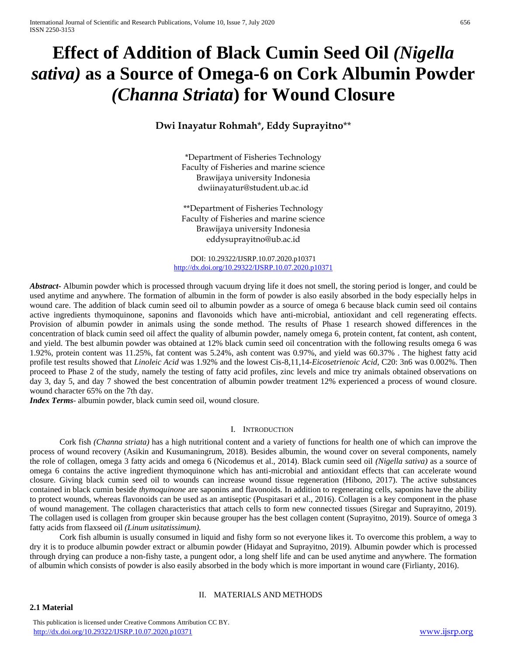# **Effect of Addition of Black Cumin Seed Oil** *(Nigella sativa)* **as a Source of Omega-6 on Cork Albumin Powder**  *(Channa Striata***) for Wound Closure**

# **Dwi Inayatur Rohmah**\***, Eddy Suprayitno**\*\*

\*Department of Fisheries Technology Faculty of Fisheries and marine science Brawijaya university Indonesia dwiinayatur@student.ub.ac.id

\*\*Department of Fisheries Technology Faculty of Fisheries and marine science Brawijaya university Indonesia eddysuprayitno@ub.ac.id

DOI: 10.29322/IJSRP.10.07.2020.p10371 <http://dx.doi.org/10.29322/IJSRP.10.07.2020.p10371>

*Abstract***-** Albumin powder which is processed through vacuum drying life it does not smell, the storing period is longer, and could be used anytime and anywhere. The formation of albumin in the form of powder is also easily absorbed in the body especially helps in wound care. The addition of black cumin seed oil to albumin powder as a source of omega 6 because black cumin seed oil contains active ingredients thymoquinone, saponins and flavonoids which have anti-microbial, antioxidant and cell regenerating effects. Provision of albumin powder in animals using the sonde method. The results of Phase 1 research showed differences in the concentration of black cumin seed oil affect the quality of albumin powder, namely omega 6, protein content, fat content, ash content, and yield. The best albumin powder was obtained at 12% black cumin seed oil concentration with the following results omega 6 was 1.92%, protein content was 11.25%, fat content was 5.24%, ash content was 0.97%, and yield was 60.37% . The highest fatty acid profile test results showed that *Linoleic Acid* was 1.92% and the lowest Cis-8,11,14-*Eicosetrienoic Acid*, C20: 3n6 was 0.002%. Then proceed to Phase 2 of the study, namely the testing of fatty acid profiles, zinc levels and mice try animals obtained observations on day 3, day 5, and day 7 showed the best concentration of albumin powder treatment 12% experienced a process of wound closure. wound character 65% on the 7th day.

*Index Terms*- albumin powder, black cumin seed oil, wound closure.

#### I. INTRODUCTION

Cork fish *(Channa striata)* has a high nutritional content and a variety of functions for health one of which can improve the process of wound recovery (Asikin and Kusumaningrum, 2018). Besides albumin, the wound cover on several components, namely the role of collagen, omega 3 fatty acids and omega 6 (Nicodemus et al., 2014). Black cumin seed oil *(Nigella sativa)* as a source of omega 6 contains the active ingredient thymoquinone which has anti-microbial and antioxidant effects that can accelerate wound closure. Giving black cumin seed oil to wounds can increase wound tissue regeneration (Hibono, 2017). The active substances contained in black cumin beside *thymoquinone* are saponins and flavonoids. In addition to regenerating cells, saponins have the ability to protect wounds, whereas flavonoids can be used as an antiseptic (Puspitasari et al., 2016). Collagen is a key component in the phase of wound management. The collagen characteristics that attach cells to form new connected tissues (Siregar and Suprayitno, 2019). The collagen used is collagen from grouper skin because grouper has the best collagen content (Suprayitno, 2019). Source of omega 3 fatty acids from flaxseed oil *(Linum usitatissimum).*

Cork fish albumin is usually consumed in liquid and fishy form so not everyone likes it. To overcome this problem, a way to dry it is to produce albumin powder extract or albumin powder (Hidayat and Suprayitno, 2019). Albumin powder which is processed through drying can produce a non-fishy taste, a pungent odor, a long shelf life and can be used anytime and anywhere. The formation of albumin which consists of powder is also easily absorbed in the body which is more important in wound care (Firlianty, 2016).

# II. MATERIALS AND METHODS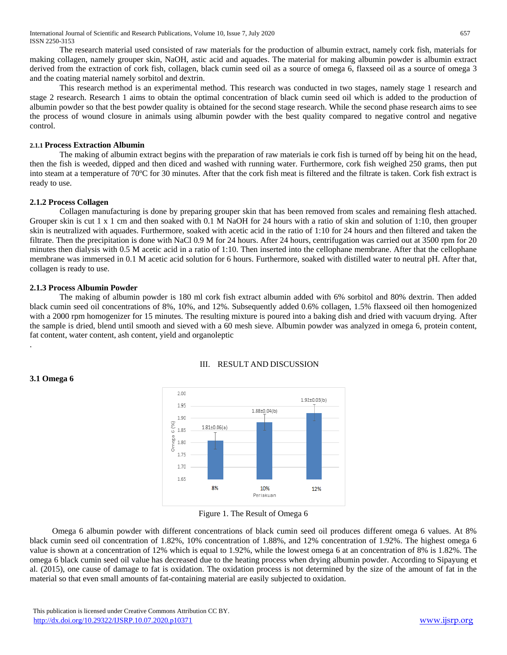International Journal of Scientific and Research Publications, Volume 10, Issue 7, July 2020 657 ISSN 2250-3153

The research material used consisted of raw materials for the production of albumin extract, namely cork fish, materials for making collagen, namely grouper skin, NaOH, astic acid and aquades. The material for making albumin powder is albumin extract derived from the extraction of cork fish, collagen, black cumin seed oil as a source of omega 6, flaxseed oil as a source of omega 3 and the coating material namely sorbitol and dextrin.

This research method is an experimental method. This research was conducted in two stages, namely stage 1 research and stage 2 research. Research 1 aims to obtain the optimal concentration of black cumin seed oil which is added to the production of albumin powder so that the best powder quality is obtained for the second stage research. While the second phase research aims to see the process of wound closure in animals using albumin powder with the best quality compared to negative control and negative control.

# **2.1.1 Process Extraction Albumin**

The making of albumin extract begins with the preparation of raw materials ie cork fish is turned off by being hit on the head, then the fish is weeded, dipped and then diced and washed with running water. Furthermore, cork fish weighed 250 grams, then put into steam at a temperature of 70°C for 30 minutes. After that the cork fish meat is filtered and the filtrate is taken. Cork fish extract is ready to use.

#### **2.1.2 Process Collagen**

Collagen manufacturing is done by preparing grouper skin that has been removed from scales and remaining flesh attached. Grouper skin is cut 1 x 1 cm and then soaked with 0.1 M NaOH for 24 hours with a ratio of skin and solution of 1:10, then grouper skin is neutralized with aquades. Furthermore, soaked with acetic acid in the ratio of 1:10 for 24 hours and then filtered and taken the filtrate. Then the precipitation is done with NaCl 0.9 M for 24 hours. After 24 hours, centrifugation was carried out at 3500 rpm for 20 minutes then dialysis with 0.5 M acetic acid in a ratio of 1:10. Then inserted into the cellophane membrane. After that the cellophane membrane was immersed in 0.1 M acetic acid solution for 6 hours. Furthermore, soaked with distilled water to neutral pH. After that, collagen is ready to use.

#### **2.1.3 Process Albumin Powder**

.

**3.1 Omega 6**

The making of albumin powder is 180 ml cork fish extract albumin added with 6% sorbitol and 80% dextrin. Then added black cumin seed oil concentrations of 8%, 10%, and 12%. Subsequently added 0.6% collagen, 1.5% flaxseed oil then homogenized with a 2000 rpm homogenizer for 15 minutes. The resulting mixture is poured into a baking dish and dried with vacuum drying. After the sample is dried, blend until smooth and sieved with a 60 mesh sieve. Albumin powder was analyzed in omega 6, protein content, fat content, water content, ash content, yield and organoleptic



# III. RESULT AND DISCUSSION

Omega 6 albumin powder with different concentrations of black cumin seed oil produces different omega 6 values. At 8% black cumin seed oil concentration of 1.82%, 10% concentration of 1.88%, and 12% concentration of 1.92%. The highest omega 6 value is shown at a concentration of 12% which is equal to 1.92%, while the lowest omega 6 at an concentration of 8% is 1.82%. The omega 6 black cumin seed oil value has decreased due to the heating process when drying albumin powder. According to Sipayung et al. (2015), one cause of damage to fat is oxidation. The oxidation process is not determined by the size of the amount of fat in the material so that even small amounts of fat-containing material are easily subjected to oxidation.

Figure 1. The Result of Omega 6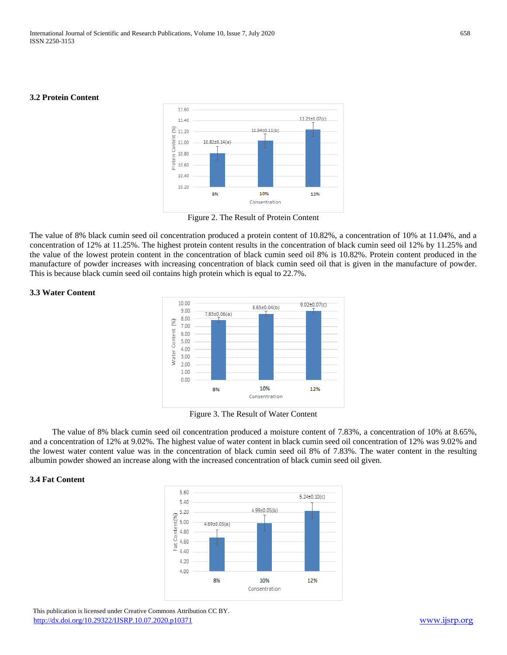#### **3.2 Protein Content**



Figure 2. The Result of Protein Content

The value of 8% black cumin seed oil concentration produced a protein content of 10.82%, a concentration of 10% at 11.04%, and a concentration of 12% at 11.25%. The highest protein content results in the concentration of black cumin seed oil 12% by 11.25% and the value of the lowest protein content in the concentration of black cumin seed oil 8% is 10.82%. Protein content produced in the manufacture of powder increases with increasing concentration of black cumin seed oil that is given in the manufacture of powder. This is because black cumin seed oil contains high protein which is equal to 22.7%.

#### **3.3 Water Content**



Figure 3. The Result of Water Content

The value of 8% black cumin seed oil concentration produced a moisture content of 7.83%, a concentration of 10% at 8.65%, and a concentration of 12% at 9.02%. The highest value of water content in black cumin seed oil concentration of 12% was 9.02% and the lowest water content value was in the concentration of black cumin seed oil 8% of 7.83%. The water content in the resulting albumin powder showed an increase along with the increased concentration of black cumin seed oil given.

# **3.4 Fat Content**



 This publication is licensed under Creative Commons Attribution CC BY. <http://dx.doi.org/10.29322/IJSRP.10.07.2020.p10371> [www.ijsrp.org](http://ijsrp.org/)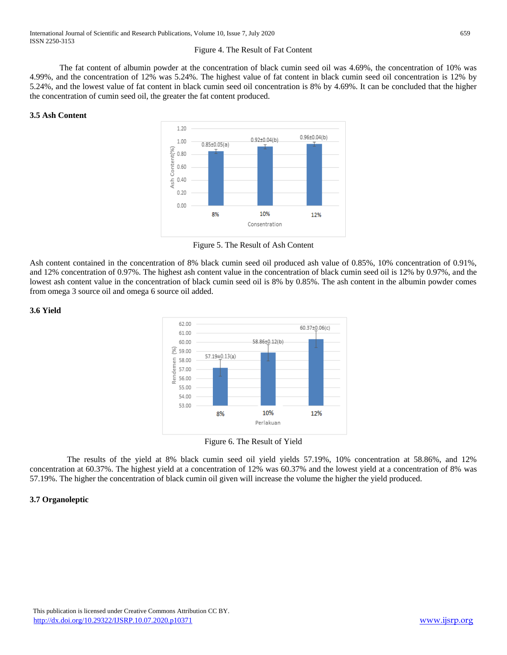# Figure 4. The Result of Fat Content

The fat content of albumin powder at the concentration of black cumin seed oil was 4.69%, the concentration of 10% was 4.99%, and the concentration of 12% was 5.24%. The highest value of fat content in black cumin seed oil concentration is 12% by 5.24%, and the lowest value of fat content in black cumin seed oil concentration is 8% by 4.69%. It can be concluded that the higher the concentration of cumin seed oil, the greater the fat content produced.

# **3.5 Ash Content**



Figure 5. The Result of Ash Content

Ash content contained in the concentration of 8% black cumin seed oil produced ash value of 0.85%, 10% concentration of 0.91%, and 12% concentration of 0.97%. The highest ash content value in the concentration of black cumin seed oil is 12% by 0.97%, and the lowest ash content value in the concentration of black cumin seed oil is 8% by 0.85%. The ash content in the albumin powder comes from omega 3 source oil and omega 6 source oil added.

#### **3.6 Yield**



Figure 6. The Result of Yield

The results of the yield at 8% black cumin seed oil yield yields 57.19%, 10% concentration at 58.86%, and 12% concentration at 60.37%. The highest yield at a concentration of 12% was 60.37% and the lowest yield at a concentration of 8% was 57.19%. The higher the concentration of black cumin oil given will increase the volume the higher the yield produced.

# **3.7 Organoleptic**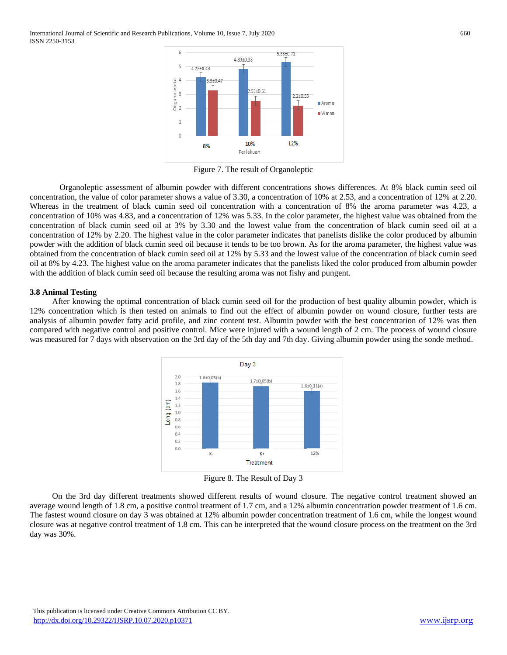International Journal of Scientific and Research Publications, Volume 10, Issue 7, July 2020 660 ISSN 2250-3153



Figure 7. The result of Organoleptic

Organoleptic assessment of albumin powder with different concentrations shows differences. At 8% black cumin seed oil concentration, the value of color parameter shows a value of 3.30, a concentration of 10% at 2.53, and a concentration of 12% at 2.20. Whereas in the treatment of black cumin seed oil concentration with a concentration of 8% the aroma parameter was 4.23, a concentration of 10% was 4.83, and a concentration of 12% was 5.33. In the color parameter, the highest value was obtained from the concentration of black cumin seed oil at 3% by 3.30 and the lowest value from the concentration of black cumin seed oil at a concentration of 12% by 2.20. The highest value in the color parameter indicates that panelists dislike the color produced by albumin powder with the addition of black cumin seed oil because it tends to be too brown. As for the aroma parameter, the highest value was obtained from the concentration of black cumin seed oil at 12% by 5.33 and the lowest value of the concentration of black cumin seed oil at 8% by 4.23. The highest value on the aroma parameter indicates that the panelists liked the color produced from albumin powder with the addition of black cumin seed oil because the resulting aroma was not fishy and pungent.

#### **3.8 Animal Testing**

After knowing the optimal concentration of black cumin seed oil for the production of best quality albumin powder, which is 12% concentration which is then tested on animals to find out the effect of albumin powder on wound closure, further tests are analysis of albumin powder fatty acid profile, and zinc content test. Albumin powder with the best concentration of 12% was then compared with negative control and positive control. Mice were injured with a wound length of 2 cm. The process of wound closure was measured for 7 days with observation on the 3rd day of the 5th day and 7th day. Giving albumin powder using the sonde method.



Figure 8. The Result of Day 3

On the 3rd day different treatments showed different results of wound closure. The negative control treatment showed an average wound length of 1.8 cm, a positive control treatment of 1.7 cm, and a 12% albumin concentration powder treatment of 1.6 cm. The fastest wound closure on day 3 was obtained at 12% albumin powder concentration treatment of 1.6 cm, while the longest wound closure was at negative control treatment of 1.8 cm. This can be interpreted that the wound closure process on the treatment on the 3rd day was 30%.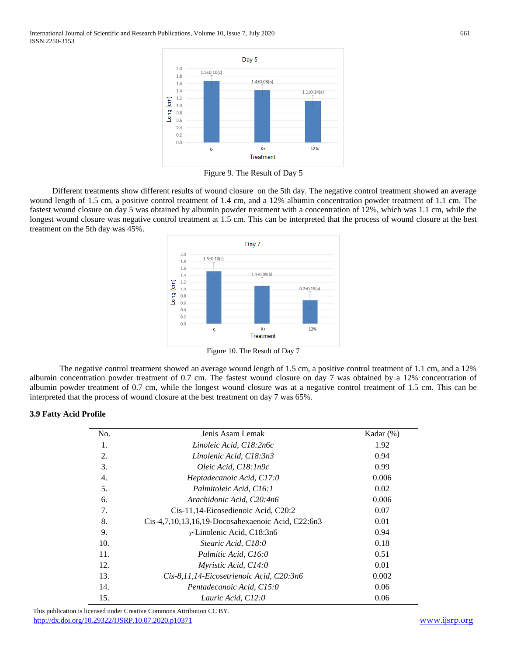International Journal of Scientific and Research Publications, Volume 10, Issue 7, July 2020 661 ISSN 2250-3153



Figure 9. The Result of Day 5

Different treatments show different results of wound closure on the 5th day. The negative control treatment showed an average wound length of 1.5 cm, a positive control treatment of 1.4 cm, and a 12% albumin concentration powder treatment of 1.1 cm. The fastest wound closure on day 5 was obtained by albumin powder treatment with a concentration of 12%, which was 1.1 cm, while the longest wound closure was negative control treatment at 1.5 cm. This can be interpreted that the process of wound closure at the best treatment on the 5th day was 45%.



Figure 10. The Result of Day 7

The negative control treatment showed an average wound length of 1.5 cm, a positive control treatment of 1.1 cm, and a 12% albumin concentration powder treatment of 0.7 cm. The fastest wound closure on day 7 was obtained by a 12% concentration of albumin powder treatment of 0.7 cm, while the longest wound closure was at a negative control treatment of 1.5 cm. This can be interpreted that the process of wound closure at the best treatment on day 7 was 65%.

# **3.9 Fatty Acid Profile**

| No.              | Jenis Asam Lemak                                    | Kadar $(\%)$ |
|------------------|-----------------------------------------------------|--------------|
| 1.               | Linoleic Acid, C18:2n6c                             | 1.92         |
| 2.               | Linolenic Acid, C18:3n3                             | 0.94         |
| 3.               | Oleic Acid, C18:1n9c                                | 0.99         |
| $\overline{4}$ . | Heptadecanoic Acid, C17:0                           | 0.006        |
| 5.               | Palmitoleic Acid, C16:1                             | 0.02         |
| 6.               | Arachidonic Acid, C20:4n6                           | 0.006        |
| 7.               | Cis-11,14-Eicosedienoic Acid, C20:2                 | 0.07         |
| 8.               | $Cis-4,7,10,13,16,19-Docosahexaenoic Acid, C22:6n3$ | 0.01         |
| 9.               | $\gamma$ -Linolenic Acid, C18:3n6                   | 0.94         |
| 10.              | Stearic Acid, C18:0                                 | 0.18         |
| 11.              | Palmitic Acid, C16:0                                | 0.51         |
| 12.              | Myristic Acid, C14:0                                | 0.01         |
| 13.              | Cis-8,11,14-Eicosetrienoic Acid, C20:3n6            | 0.002        |
| 14.              | Pentadecanoic Acid, C15:0                           | 0.06         |
| 15.              | Lauric Acid, C12:0                                  | 0.06         |

 This publication is licensed under Creative Commons Attribution CC BY. <http://dx.doi.org/10.29322/IJSRP.10.07.2020.p10371> [www.ijsrp.org](http://ijsrp.org/)